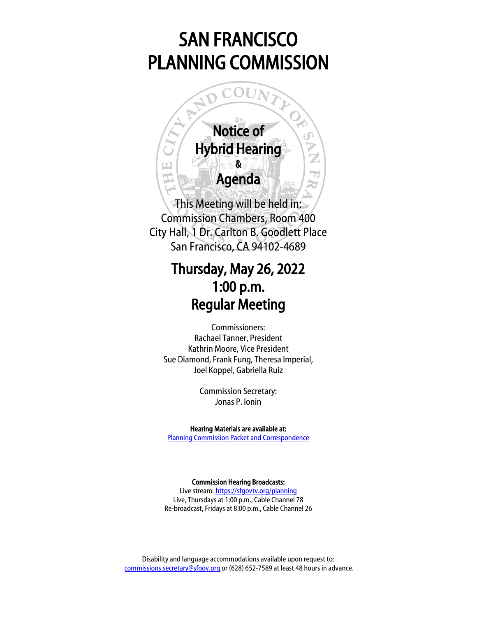# SAN FRANCISCO PLANNING COMMISSION



This Meeting will be held in: Commission Chambers, Room 400 City Hall, 1 Dr. Carlton B. Goodlett Place San Francisco, CA 94102-4689

# Thursday, May 26, 2022 1:00 p.m. Regular Meeting

Commissioners: Rachael Tanner, President Kathrin Moore, Vice President Sue Diamond, Frank Fung, Theresa Imperial, Joel Koppel, Gabriella Ruiz

> Commission Secretary: Jonas P. Ionin

Hearing Materials are available at: [Planning Commission Packet and Correspondence](https://sfplanning.org/resource/planning-commission-packet-may-26-2022)

Commission Hearing Broadcasts:

Live stream: <https://sfgovtv.org/planning> Live, Thursdays at 1:00 p.m., Cable Channel 78 Re-broadcast, Fridays at 8:00 p.m., Cable Channel 26

Disability and language accommodations available upon request to: [commissions.secretary@sfgov.org](mailto:commissions.secretary@sfgov.org) or (628) 652-7589 at least 48 hours in advance.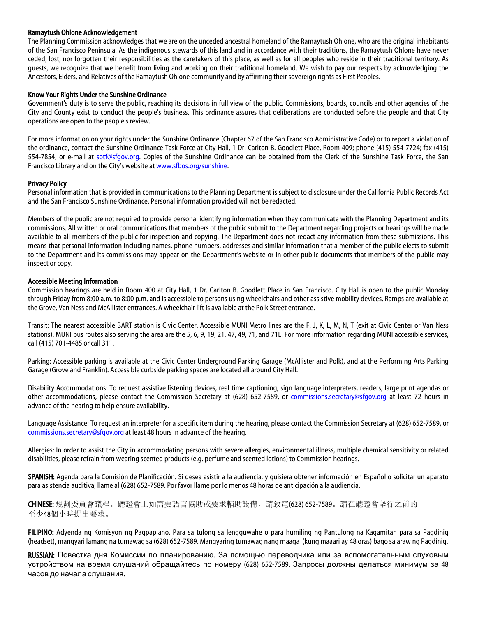# Ramaytush Ohlone Acknowledgement

The Planning Commission acknowledges that we are on the unceded ancestral homeland of the Ramaytush Ohlone, who are the original inhabitants of the San Francisco Peninsula. As the indigenous stewards of this land and in accordance with their traditions, the Ramaytush Ohlone have never ceded, lost, nor forgotten their responsibilities as the caretakers of this place, as well as for all peoples who reside in their traditional territory. As guests, we recognize that we benefit from living and working on their traditional homeland. We wish to pay our respects by acknowledging the Ancestors, Elders, and Relatives of the Ramaytush Ohlone community and by affirming their sovereign rights as First Peoples.

# Know Your Rights Under the Sunshine Ordinance

Government's duty is to serve the public, reaching its decisions in full view of the public. Commissions, boards, councils and other agencies of the City and County exist to conduct the people's business. This ordinance assures that deliberations are conducted before the people and that City operations are open to the people's review.

For more information on your rights under the Sunshine Ordinance (Chapter 67 of the San Francisco Administrative Code) or to report a violation of the ordinance, contact the Sunshine Ordinance Task Force at City Hall, 1 Dr. Carlton B. Goodlett Place, Room 409; phone (415) 554-7724; fax (415) 554-7854; or e-mail at [sotf@sfgov.org.](mailto:sotf@sfgov.org) Copies of the Sunshine Ordinance can be obtained from the Clerk of the Sunshine Task Force, the San Francisco Library and on the City's website at [www.sfbos.org/sunshine.](http://www.sfbos.org/sunshine) 

# Privacy Policy

Personal information that is provided in communications to the Planning Department is subject to disclosure under the California Public Records Act and the San Francisco Sunshine Ordinance. Personal information provided will not be redacted.

Members of the public are not required to provide personal identifying information when they communicate with the Planning Department and its commissions. All written or oral communications that members of the public submit to the Department regarding projects or hearings will be made available to all members of the public for inspection and copying. The Department does not redact any information from these submissions. This means that personal information including names, phone numbers, addresses and similar information that a member of the public elects to submit to the Department and its commissions may appear on the Department's website or in other public documents that members of the public may inspect or copy.

#### Accessible Meeting Information

Commission hearings are held in Room 400 at City Hall, 1 Dr. Carlton B. Goodlett Place in San Francisco. City Hall is open to the public Monday through Friday from 8:00 a.m. to 8:00 p.m. and is accessible to persons using wheelchairs and other assistive mobility devices. Ramps are available at the Grove, Van Ness and McAllister entrances. A wheelchair lift is available at the Polk Street entrance.

Transit: The nearest accessible BART station is Civic Center. Accessible MUNI Metro lines are the F, J, K, L, M, N, T (exit at Civic Center or Van Ness stations). MUNI bus routes also serving the area are the 5, 6, 9, 19, 21, 47, 49, 71, and 71L. For more information regarding MUNI accessible services, call (415) 701-4485 or call 311.

Parking: Accessible parking is available at the Civic Center Underground Parking Garage (McAllister and Polk), and at the Performing Arts Parking Garage (Grove and Franklin). Accessible curbside parking spaces are located all around City Hall.

Disability Accommodations: To request assistive listening devices, real time captioning, sign language interpreters, readers, large print agendas or other accommodations, please contact the Commission Secretary at (628) 652-7589, or [commissions.secretary@sfgov.org](mailto:commissions.secretary@sfgov.org) at least 72 hours in advance of the hearing to help ensure availability.

Language Assistance: To request an interpreter for a specific item during the hearing, please contact the Commission Secretary at (628) 652-7589, or [commissions.secretary@sfgov.org](mailto:commissions.secretary@sfgov.org) at least 48 hours in advance of the hearing.

Allergies: In order to assist the City in accommodating persons with severe allergies, environmental illness, multiple chemical sensitivity or related disabilities, please refrain from wearing scented products (e.g. perfume and scented lotions) to Commission hearings.

SPANISH: Agenda para la Comisión de Planificación. Si desea asistir a la audiencia, y quisiera obtener información en Español o solicitar un aparato para asistencia auditiva, llame al (628) 652-7589. Por favor llame por lo menos 48 horas de anticipación a la audiencia.

CHINESE: 規劃委員會議程。聽證會上如需要語言協助或要求輔助設備,請致電(628) 652-7589。請在聽證會舉行之前的 至少48個小時提出要求。

FILIPINO: Adyenda ng Komisyon ng Pagpaplano. Para sa tulong sa lengguwahe o para humiling ng Pantulong na Kagamitan para sa Pagdinig (headset), mangyari lamang na tumawag sa (628) 652-7589. Mangyaring tumawag nang maaga (kung maaari ay 48 oras) bago sa araw ng Pagdinig.

RUSSIAN: Повестка дня Комиссии по планированию. За помощью переводчика или за вспомогательным слуховым устройством на время слушаний обращайтесь по номеру (628) 652-7589. Запросы должны делаться минимум за 48 часов до начала слушания.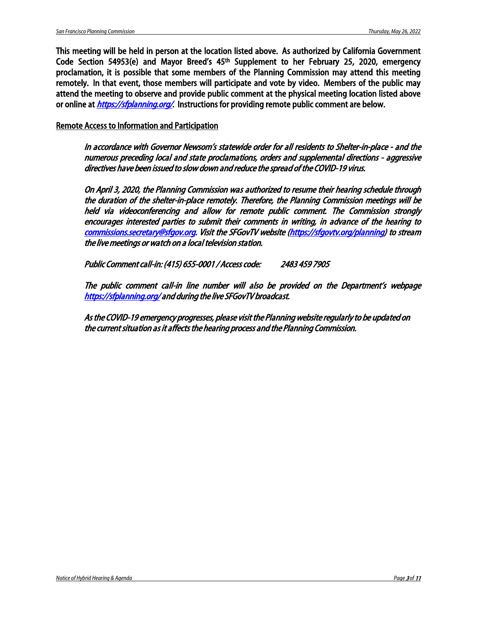This meeting will be held in person at the location listed above. As authorized by California Government Code Section 54953(e) and Mayor Breed's 45th Supplement to her February 25, 2020, emergency proclamation, it is possible that some members of the Planning Commission may attend this meeting remotely. In that event, those members will participate and vote by video. Members of the public may attend the meeting to observe and provide public comment at the physical meeting location listed above or online at *<https://sfplanning.org/>*. Instructions for providing remote public comment are below.

Remote Access to Information and Participation

In accordance with Governor Newsom's statewide order for all residents to Shelter-in-place - and the numerous preceding local and state proclamations, orders and supplemental directions - aggressive directives have been issued to slow down and reduce the spread of the COVID-19 virus.

On April 3, 2020, the Planning Commission was authorized to resume their hearing schedule through the duration of the shelter-in-place remotely. Therefore, the Planning Commission meetings will be held via videoconferencing and allow for remote public comment. The Commission strongly encourages interested parties to submit their comments in writing, in advance of the hearing to [commissions.secretary@sfgov.org.](mailto:commissions.secretary@sfgov.org) Visit the SFGovTV website [\(https://sfgovtv.org/planning\)](https://sfgovtv.org/planning) to stream the live meetings or watch on a local television station.

Public Comment call-in: (415) 655-0001 / Access code: 2483 459 7905

The public comment call-in line number will also be provided on the Department's webpage <https://sfplanning.org/>and during the live SFGovTV broadcast.

As the COVID-19 emergency progresses, please visit the Planning website regularly to be updated on the current situation as it affects the hearing process and the Planning Commission.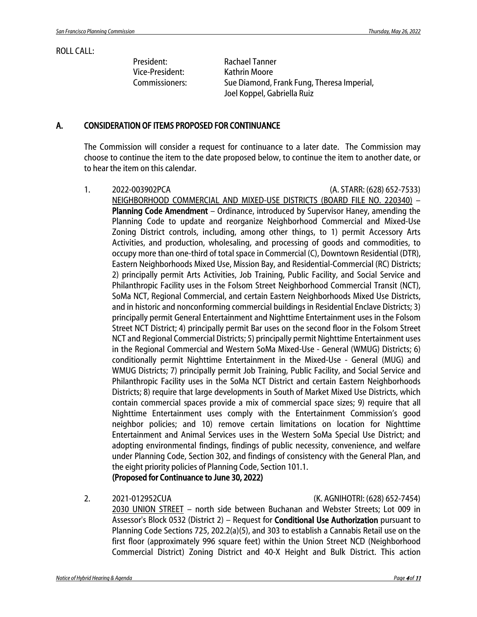# ROLL CALL:

President: Rachael Tanner Vice-President: Kathrin Moore

Commissioners: Sue Diamond, Frank Fung, Theresa Imperial, Joel Koppel, Gabriella Ruiz

# A. CONSIDERATION OF ITEMS PROPOSED FOR CONTINUANCE

The Commission will consider a request for continuance to a later date. The Commission may choose to continue the item to the date proposed below, to continue the item to another date, or to hear the item on this calendar.

- 1. 2022-003902PCA (A. STARR: (628) 652-7533) NEIGHBORHOOD COMMERCIAL AND MIXED-USE DISTRICTS (BOARD FILE NO. 220340) – Planning Code Amendment – Ordinance, introduced by Supervisor Haney, amending the Planning Code to update and reorganize Neighborhood Commercial and Mixed-Use Zoning District controls, including, among other things, to 1) permit Accessory Arts Activities, and production, wholesaling, and processing of goods and commodities, to occupy more than one-third of total space in Commercial (C), Downtown Residential (DTR), Eastern Neighborhoods Mixed Use, Mission Bay, and Residential-Commercial (RC) Districts; 2) principally permit Arts Activities, Job Training, Public Facility, and Social Service and Philanthropic Facility uses in the Folsom Street Neighborhood Commercial Transit (NCT), SoMa NCT, Regional Commercial, and certain Eastern Neighborhoods Mixed Use Districts, and in historic and nonconforming commercial buildings in Residential Enclave Districts; 3) principally permit General Entertainment and Nighttime Entertainment uses in the Folsom Street NCT District; 4) principally permit Bar uses on the second floor in the Folsom Street NCT and Regional Commercial Districts; 5) principally permit Nighttime Entertainment uses in the Regional Commercial and Western SoMa Mixed-Use - General (WMUG) Districts; 6) conditionally permit Nighttime Entertainment in the Mixed-Use - General (MUG) and WMUG Districts; 7) principally permit Job Training, Public Facility, and Social Service and Philanthropic Facility uses in the SoMa NCT District and certain Eastern Neighborhoods Districts; 8) require that large developments in South of Market Mixed Use Districts, which contain commercial spaces provide a mix of commercial space sizes; 9) require that all Nighttime Entertainment uses comply with the Entertainment Commission's good neighbor policies; and 10) remove certain limitations on location for Nighttime Entertainment and Animal Services uses in the Western SoMa Special Use District; and adopting environmental findings, findings of public necessity, convenience, and welfare under Planning Code, Section 302, and findings of consistency with the General Plan, and the eight priority policies of Planning Code, Section 101.1. (Proposed for Continuance to June 30, 2022)
- 

2. 2021-012952CUA (K. AGNIHOTRI: (628) 652-7454)

2030 UNION STREET – north side between Buchanan and Webster Streets; Lot 009 in Assessor's Block 0532 (District 2) – Request for Conditional Use Authorization pursuant to Planning Code Sections 725, 202.2(a)(5), and 303 to establish a Cannabis Retail use on the first floor (approximately 996 square feet) within the Union Street NCD (Neighborhood Commercial District) Zoning District and 40-X Height and Bulk District. This action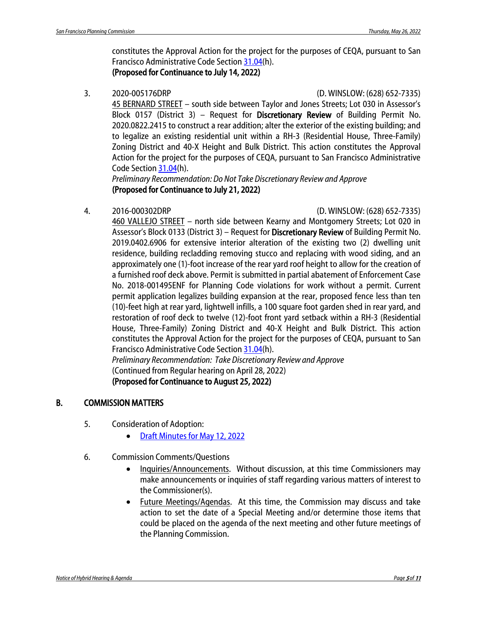constitutes the Approval Action for the project for the purposes of CEQA, pursuant to San Francisco Administrative Code Section [31.04\(](https://codelibrary.amlegal.com/codes/san_francisco/latest/sf_admin/0-0-0-15178)h). (Proposed for Continuance to July 14, 2022)

# 3. 2020-005176DRP (D. WINSLOW: (628) 652-7335)

45 BERNARD STREET – south side between Taylor and Jones Streets; Lot 030 in Assessor's Block 0157 (District 3) – Request for Discretionary Review of Building Permit No. 2020.0822.2415 to construct a rear addition; alter the exterior of the existing building; and to legalize an existing residential unit within a RH-3 (Residential House, Three-Family) Zoning District and 40-X Height and Bulk District. This action constitutes the Approval Action for the project for the purposes of CEQA, pursuant to San Francisco Administrative Code Sectio[n 31.04\(](https://codelibrary.amlegal.com/codes/san_francisco/latest/sf_admin/0-0-0-15178)h).

*Preliminary Recommendation: Do Not Take Discretionary Review and Approve* (Proposed for Continuance to July 21, 2022)

4. 2016-000302DRP (D. WINSLOW: (628) 652-7335)

460 VALLEJO STREET – north side between Kearny and Montgomery Streets; Lot 020 in Assessor's Block 0133 (District 3) – Request for Discretionary Review of Building Permit No. 2019.0402.6906 for extensive interior alteration of the existing two (2) dwelling unit residence, building recladding removing stucco and replacing with wood siding, and an approximately one (1)-foot increase of the rear yard roof height to allow for the creation of a furnished roof deck above. Permit is submitted in partial abatement of Enforcement Case No. 2018-001495ENF for Planning Code violations for work without a permit. Current permit application legalizes building expansion at the rear, proposed fence less than ten (10)-feet high at rear yard, lightwell infills, a 100 square foot garden shed in rear yard, and restoration of roof deck to twelve (12)-foot front yard setback within a RH-3 (Residential House, Three-Family) Zoning District and 40-X Height and Bulk District. This action constitutes the Approval Action for the project for the purposes of CEQA, pursuant to San Francisco Administrative Code Section [31.04\(](https://codelibrary.amlegal.com/codes/san_francisco/latest/sf_admin/0-0-0-15178)h).

*Preliminary Recommendation: Take Discretionary Review and Approve* (Continued from Regular hearing on April 28, 2022) (Proposed for Continuance to August 25, 2022)

# B. COMMISSION MATTERS

- 5. Consideration of Adoption:
	- [Draft Minutes for May 12, 2022](https://commissions.sfplanning.org/cpcpackets/20220512_cal_min.pdf)
- 6. Commission Comments/Questions
	- Inquiries/Announcements. Without discussion, at this time Commissioners may make announcements or inquiries of staff regarding various matters of interest to the Commissioner(s).
	- Future Meetings/Agendas. At this time, the Commission may discuss and take action to set the date of a Special Meeting and/or determine those items that could be placed on the agenda of the next meeting and other future meetings of the Planning Commission.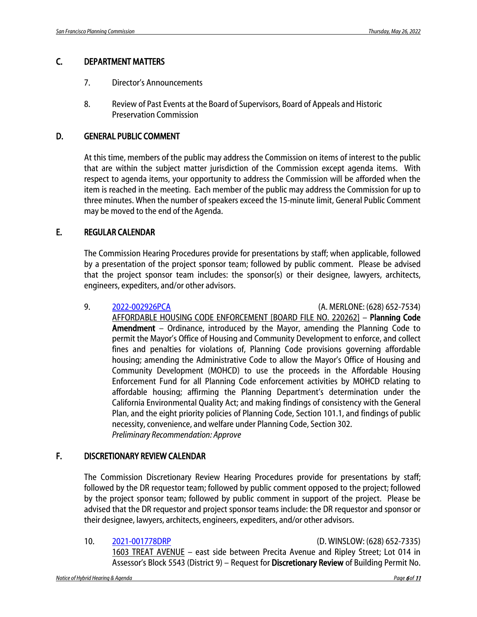# C. DEPARTMENT MATTERS

- 7. Director's Announcements
- 8. Review of Past Events at the Board of Supervisors, Board of Appeals and Historic Preservation Commission

# D. GENERAL PUBLIC COMMENT

At this time, members of the public may address the Commission on items of interest to the public that are within the subject matter jurisdiction of the Commission except agenda items. With respect to agenda items, your opportunity to address the Commission will be afforded when the item is reached in the meeting. Each member of the public may address the Commission for up to three minutes. When the number of speakers exceed the 15-minute limit, General Public Comment may be moved to the end of the Agenda.

# E. REGULAR CALENDAR

The Commission Hearing Procedures provide for presentations by staff; when applicable, followed by a presentation of the project sponsor team; followed by public comment. Please be advised that the project sponsor team includes: the sponsor(s) or their designee, lawyers, architects, engineers, expediters, and/or other advisors.

9. [2022-002926PCA](https://citypln-m-extnl.sfgov.org/Commissions/CPC/5_26_2022/Commission%20Packet/2022-002926PCA.pdf) (A. MERLONE: (628) 652-7534) AFFORDABLE HOUSING CODE ENFORCEMENT [BOARD FILE NO. 220262] – Planning Code Amendment – Ordinance, introduced by the Mayor, amending the Planning Code to permit the Mayor's Office of Housing and Community Development to enforce, and collect fines and penalties for violations of, Planning Code provisions governing affordable housing; amending the Administrative Code to allow the Mayor's Office of Housing and Community Development (MOHCD) to use the proceeds in the Affordable Housing Enforcement Fund for all Planning Code enforcement activities by MOHCD relating to affordable housing; affirming the Planning Department's determination under the California Environmental Quality Act; and making findings of consistency with the General Plan, and the eight priority policies of Planning Code, Section 101.1, and findings of public necessity, convenience, and welfare under Planning Code, Section 302. *Preliminary Recommendation: Approve*

# F. DISCRETIONARY REVIEW CALENDAR

The Commission Discretionary Review Hearing Procedures provide for presentations by staff; followed by the DR requestor team; followed by public comment opposed to the project; followed by the project sponsor team; followed by public comment in support of the project. Please be advised that the DR requestor and project sponsor teams include: the DR requestor and sponsor or their designee, lawyers, architects, engineers, expediters, and/or other advisors.

10. [2021-001778DRP](https://citypln-m-extnl.sfgov.org/Commissions/CPC/5_26_2022/Commission%20Packet/2021-001778DRP.pdf) (D. WINSLOW: (628) 652-7335)

1603 TREAT AVENUE – east side between Precita Avenue and Ripley Street; Lot 014 in Assessor's Block 5543 (District 9) – Request for Discretionary Review of Building Permit No.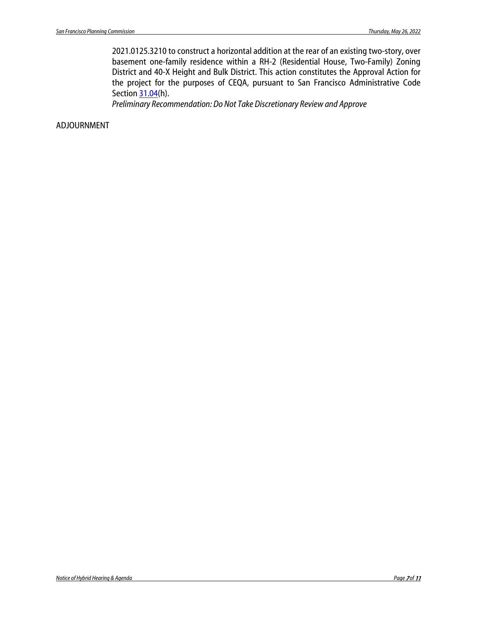2021.0125.3210 to construct a horizontal addition at the rear of an existing two-story, over basement one-family residence within a RH-2 (Residential House, Two-Family) Zoning District and 40-X Height and Bulk District. This action constitutes the Approval Action for the project for the purposes of CEQA, pursuant to San Francisco Administrative Code Sectio[n 31.04\(](https://codelibrary.amlegal.com/codes/san_francisco/latest/sf_admin/0-0-0-15178)h).

*Preliminary Recommendation: Do Not Take Discretionary Review and Approve*

ADJOURNMENT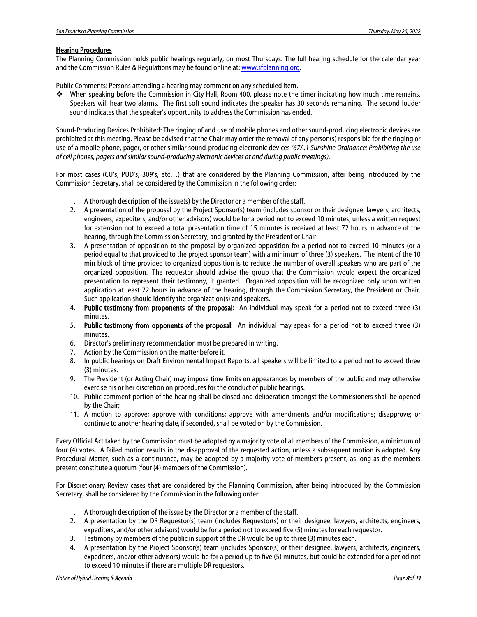#### Hearing Procedures

The Planning Commission holds public hearings regularly, on most Thursdays. The full hearing schedule for the calendar year and the Commission Rules & Regulations may be found online at[: www.sfplanning.org.](http://www.sfplanning.org/) 

Public Comments: Persons attending a hearing may comment on any scheduled item.

 When speaking before the Commission in City Hall, Room 400, please note the timer indicating how much time remains. Speakers will hear two alarms. The first soft sound indicates the speaker has 30 seconds remaining. The second louder sound indicates that the speaker's opportunity to address the Commission has ended.

Sound-Producing Devices Prohibited: The ringing of and use of mobile phones and other sound-producing electronic devices are prohibited at this meeting. Please be advised that the Chair may order the removal of any person(s) responsible for the ringing or use of a mobile phone, pager, or other similar sound-producing electronic devices *(67A.1 Sunshine Ordinance: Prohibiting the use of cell phones, pagers and similar sound-producing electronic devices at and during public meetings).*

For most cases (CU's, PUD's, 309's, etc…) that are considered by the Planning Commission, after being introduced by the Commission Secretary, shall be considered by the Commission in the following order:

- 1. A thorough description of the issue(s) by the Director or a member of the staff.
- 2. A presentation of the proposal by the Project Sponsor(s) team (includes sponsor or their designee, lawyers, architects, engineers, expediters, and/or other advisors) would be for a period not to exceed 10 minutes, unless a written request for extension not to exceed a total presentation time of 15 minutes is received at least 72 hours in advance of the hearing, through the Commission Secretary, and granted by the President or Chair.
- 3. A presentation of opposition to the proposal by organized opposition for a period not to exceed 10 minutes (or a period equal to that provided to the project sponsor team) with a minimum of three (3) speakers. The intent of the 10 min block of time provided to organized opposition is to reduce the number of overall speakers who are part of the organized opposition. The requestor should advise the group that the Commission would expect the organized presentation to represent their testimony, if granted. Organized opposition will be recognized only upon written application at least 72 hours in advance of the hearing, through the Commission Secretary, the President or Chair. Such application should identify the organization(s) and speakers.
- 4. Public testimony from proponents of the proposal: An individual may speak for a period not to exceed three (3) minutes.
- 5. Public testimony from opponents of the proposal: An individual may speak for a period not to exceed three (3) minutes.
- 6. Director's preliminary recommendation must be prepared in writing.
- 7. Action by the Commission on the matter before it.
- 8. In public hearings on Draft Environmental Impact Reports, all speakers will be limited to a period not to exceed three (3) minutes.
- 9. The President (or Acting Chair) may impose time limits on appearances by members of the public and may otherwise exercise his or her discretion on procedures for the conduct of public hearings.
- 10. Public comment portion of the hearing shall be closed and deliberation amongst the Commissioners shall be opened by the Chair;
- 11. A motion to approve; approve with conditions; approve with amendments and/or modifications; disapprove; or continue to another hearing date, if seconded, shall be voted on by the Commission.

Every Official Act taken by the Commission must be adopted by a majority vote of all members of the Commission, a minimum of four (4) votes. A failed motion results in the disapproval of the requested action, unless a subsequent motion is adopted. Any Procedural Matter, such as a continuance, may be adopted by a majority vote of members present, as long as the members present constitute a quorum (four (4) members of the Commission).

For Discretionary Review cases that are considered by the Planning Commission, after being introduced by the Commission Secretary, shall be considered by the Commission in the following order:

- 1. A thorough description of the issue by the Director or a member of the staff.
- 2. A presentation by the DR Requestor(s) team (includes Requestor(s) or their designee, lawyers, architects, engineers, expediters, and/or other advisors) would be for a period not to exceed five (5) minutes for each requestor.
- 3. Testimony by members of the public in support of the DR would be up to three (3) minutes each.
- 4. A presentation by the Project Sponsor(s) team (includes Sponsor(s) or their designee, lawyers, architects, engineers, expediters, and/or other advisors) would be for a period up to five (5) minutes, but could be extended for a period not to exceed 10 minutes if there are multiple DR requestors.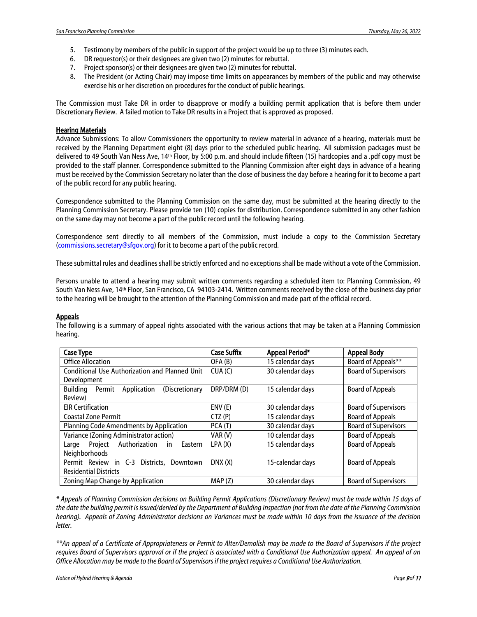- 5. Testimony by members of the public in support of the project would be up to three (3) minutes each.
- 6. DR requestor(s) or their designees are given two (2) minutes for rebuttal.
- 7. Project sponsor(s) or their designees are given two (2) minutes for rebuttal.
- 8. The President (or Acting Chair) may impose time limits on appearances by members of the public and may otherwise exercise his or her discretion on procedures for the conduct of public hearings.

The Commission must Take DR in order to disapprove or modify a building permit application that is before them under Discretionary Review. A failed motion to Take DR results in a Project that is approved as proposed.

### Hearing Materials

Advance Submissions: To allow Commissioners the opportunity to review material in advance of a hearing, materials must be received by the Planning Department eight (8) days prior to the scheduled public hearing. All submission packages must be delivered to 49 South Van Ness Ave, 14th Floor, by 5:00 p.m. and should include fifteen (15) hardcopies and a .pdf copy must be provided to the staff planner. Correspondence submitted to the Planning Commission after eight days in advance of a hearing must be received by the Commission Secretary no later than the close of business the day before a hearing for it to become a part of the public record for any public hearing.

Correspondence submitted to the Planning Commission on the same day, must be submitted at the hearing directly to the Planning Commission Secretary. Please provide ten (10) copies for distribution. Correspondence submitted in any other fashion on the same day may not become a part of the public record until the following hearing.

Correspondence sent directly to all members of the Commission, must include a copy to the Commission Secretary [\(commissions.secretary@sfgov.org\)](mailto:commissions.secretary@sfgov.org) for it to become a part of the public record.

These submittal rules and deadlines shall be strictly enforced and no exceptions shall be made without a vote of the Commission.

Persons unable to attend a hearing may submit written comments regarding a scheduled item to: Planning Commission, 49 South Van Ness Ave, 14th Floor, San Francisco, CA 94103-2414. Written comments received by the close of the business day prior to the hearing will be brought to the attention of the Planning Commission and made part of the official record.

#### **Appeals**

The following is a summary of appeal rights associated with the various actions that may be taken at a Planning Commission hearing.

| <b>Case Type</b>                                    | <b>Case Suffix</b> | Appeal Period*   | <b>Appeal Body</b>          |
|-----------------------------------------------------|--------------------|------------------|-----------------------------|
| <b>Office Allocation</b>                            | OFA(B)             | 15 calendar days | Board of Appeals**          |
| Conditional Use Authorization and Planned Unit      | CUA(C)             | 30 calendar days | <b>Board of Supervisors</b> |
| Development                                         |                    |                  |                             |
| Buildina<br>Application<br>(Discretionary<br>Permit | DRP/DRM (D)        | 15 calendar days | <b>Board of Appeals</b>     |
| Review)                                             |                    |                  |                             |
| <b>EIR Certification</b>                            | ENV (E)            | 30 calendar days | <b>Board of Supervisors</b> |
| <b>Coastal Zone Permit</b>                          | CTZ(P)             | 15 calendar davs | <b>Board of Appeals</b>     |
| <b>Planning Code Amendments by Application</b>      | PCA (T)            | 30 calendar days | <b>Board of Supervisors</b> |
| Variance (Zoning Administrator action)              | VAR (V)            | 10 calendar days | <b>Board of Appeals</b>     |
| Authorization<br>Eastern<br>Project<br>in.<br>Large | LPA(X)             | 15 calendar days | <b>Board of Appeals</b>     |
| <b>Neighborhoods</b>                                |                    |                  |                             |
| Permit Review in C-3 Districts,<br>Downtown         | DNX(X)             | 15-calendar days | <b>Board of Appeals</b>     |
| <b>Residential Districts</b>                        |                    |                  |                             |
| Zoning Map Change by Application                    | MAP(Z)             | 30 calendar days | <b>Board of Supervisors</b> |

*\* Appeals of Planning Commission decisions on Building Permit Applications (Discretionary Review) must be made within 15 days of the date the building permit is issued/denied by the Department of Building Inspection (not from the date of the Planning Commission hearing). Appeals of Zoning Administrator decisions on Variances must be made within 10 days from the issuance of the decision letter.*

*\*\*An appeal of a Certificate of Appropriateness or Permit to Alter/Demolish may be made to the Board of Supervisors if the project requires Board of Supervisors approval or if the project is associated with a Conditional Use Authorization appeal. An appeal of an Office Allocation may be made to the Board of Supervisors if the project requires a Conditional Use Authorization.*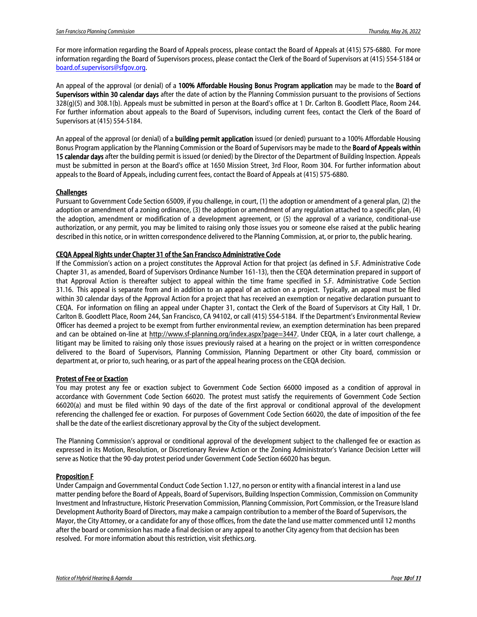For more information regarding the Board of Appeals process, please contact the Board of Appeals at (415) 575-6880. For more information regarding the Board of Supervisors process, please contact the Clerk of the Board of Supervisors at (415) 554-5184 or [board.of.supervisors@sfgov.org.](mailto:board.of.supervisors@sfgov.org)

An appeal of the approval (or denial) of a 100% Affordable Housing Bonus Program application may be made to the Board of Supervisors within 30 calendar days after the date of action by the Planning Commission pursuant to the provisions of Sections 328(g)(5) and 308.1(b). Appeals must be submitted in person at the Board's office at 1 Dr. Carlton B. Goodlett Place, Room 244. For further information about appeals to the Board of Supervisors, including current fees, contact the Clerk of the Board of Supervisors at (415) 554-5184.

An appeal of the approval (or denial) of a **building permit application** issued (or denied) pursuant to a 100% Affordable Housing Bonus Program application by the Planning Commission or the Board of Supervisors may be made to the **Board of Appeals within** 15 calendar days after the building permit is issued (or denied) by the Director of the Department of Building Inspection. Appeals must be submitted in person at the Board's office at 1650 Mission Street, 3rd Floor, Room 304. For further information about appeals to the Board of Appeals, including current fees, contact the Board of Appeals at (415) 575-6880.

### **Challenges**

Pursuant to Government Code Section 65009, if you challenge, in court, (1) the adoption or amendment of a general plan, (2) the adoption or amendment of a zoning ordinance, (3) the adoption or amendment of any regulation attached to a specific plan, (4) the adoption, amendment or modification of a development agreement, or (5) the approval of a variance, conditional-use authorization, or any permit, you may be limited to raising only those issues you or someone else raised at the public hearing described in this notice, or in written correspondence delivered to the Planning Commission, at, or prior to, the public hearing.

#### CEQA Appeal Rights under Chapter 31 of the San Francisco Administrative Code

If the Commission's action on a project constitutes the Approval Action for that project (as defined in S.F. Administrative Code Chapter 31, as amended, Board of Supervisors Ordinance Number 161-13), then the CEQA determination prepared in support of that Approval Action is thereafter subject to appeal within the time frame specified in S.F. Administrative Code Section 31.16. This appeal is separate from and in addition to an appeal of an action on a project. Typically, an appeal must be filed within 30 calendar days of the Approval Action for a project that has received an exemption or negative declaration pursuant to CEQA. For information on filing an appeal under Chapter 31, contact the Clerk of the Board of Supervisors at City Hall, 1 Dr. Carlton B. Goodlett Place, Room 244, San Francisco, CA 94102, or call (415) 554-5184. If the Department's Environmental Review Officer has deemed a project to be exempt from further environmental review, an exemption determination has been prepared and can be obtained on-line at [http://www.sf-planning.org/index.aspx?page=3447.](http://www.sf-planning.org/index.aspx?page=3447) Under CEQA, in a later court challenge, a litigant may be limited to raising only those issues previously raised at a hearing on the project or in written correspondence delivered to the Board of Supervisors, Planning Commission, Planning Department or other City board, commission or department at, or prior to, such hearing, or as part of the appeal hearing process on the CEQA decision.

#### Protest of Fee or Exaction

You may protest any fee or exaction subject to Government Code Section 66000 imposed as a condition of approval in accordance with Government Code Section 66020. The protest must satisfy the requirements of Government Code Section 66020(a) and must be filed within 90 days of the date of the first approval or conditional approval of the development referencing the challenged fee or exaction. For purposes of Government Code Section 66020, the date of imposition of the fee shall be the date of the earliest discretionary approval by the City of the subject development.

The Planning Commission's approval or conditional approval of the development subject to the challenged fee or exaction as expressed in its Motion, Resolution, or Discretionary Review Action or the Zoning Administrator's Variance Decision Letter will serve as Notice that the 90-day protest period under Government Code Section 66020 has begun.

#### Proposition F

Under Campaign and Governmental Conduct Code Section 1.127, no person or entity with a financial interest in a land use matter pending before the Board of Appeals, Board of Supervisors, Building Inspection Commission, Commission on Community Investment and Infrastructure, Historic Preservation Commission, Planning Commission, Port Commission, or the Treasure Island Development Authority Board of Directors, may make a campaign contribution to a member of the Board of Supervisors, the Mayor, the City Attorney, or a candidate for any of those offices, from the date the land use matter commenced until 12 months after the board or commission has made a final decision or any appeal to another City agency from that decision has been resolved. For more information about this restriction, visit sfethics.org.